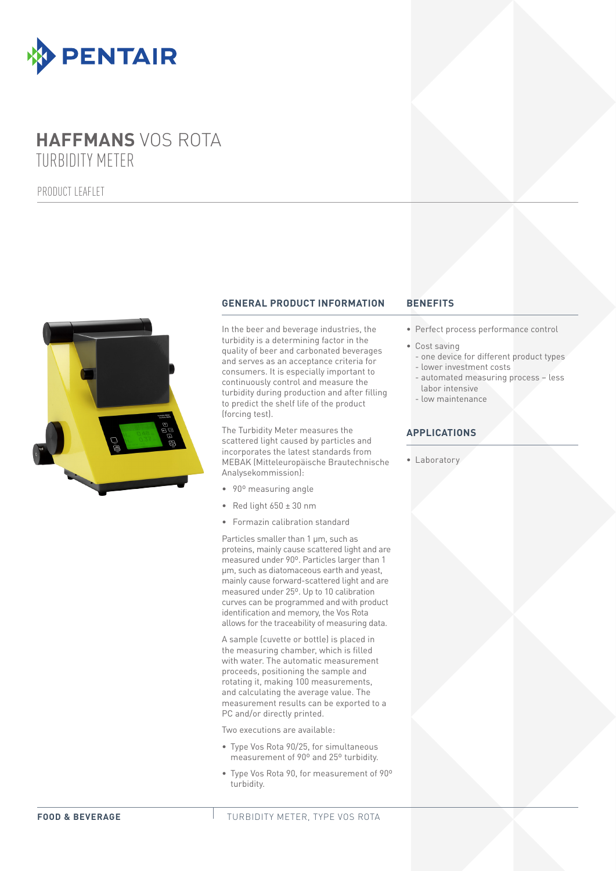

# **HAFFMANS** VOS ROTA TURBIDITY METER

PRODUCT LEAFLET



# **GENERAL PRODUCT INFORMATION BENEFITS**

In the beer and beverage industries, the turbidity is a determining factor in the quality of beer and carbonated beverages and serves as an acceptance criteria for consumers. It is especially important to continuously control and measure the turbidity during production and after filling to predict the shelf life of the product (forcing test).

The Turbidity Meter measures the scattered light caused by particles and incorporates the latest standards from MEBAK (Mitteleuropäische Brautechnische Analysekommission):

- 90° measuring angle
- Red light  $650 \pm 30$  nm
- • Formazin calibration standard

Particles smaller than 1 µm, such as proteins, mainly cause scattered light and are measured under 90º. Particles larger than 1 µm, such as diatomaceous earth and yeast, mainly cause forward-scattered light and are measured under 25º. Up to 10 calibration curves can be programmed and with product identification and memory, the Vos Rota allows for the traceability of measuring data.

A sample (cuvette or bottle) is placed in the measuring chamber, which is filled with water. The automatic measurement proceeds, positioning the sample and rotating it, making 100 measurements, and calculating the average value. The measurement results can be exported to a PC and/or directly printed.

Two executions are available:

- • Type Vos Rota 90/25, for simultaneous measurement of 90º and 25º turbidity.
- • Type Vos Rota 90, for measurement of 90º turbidity.

- • Perfect process performance control
- • Cost saving
	- one device for different product types - lower investment costs
	- automated measuring process less labor intensive
	- low maintenance

## **APPLICATIONS**

• Laboratory